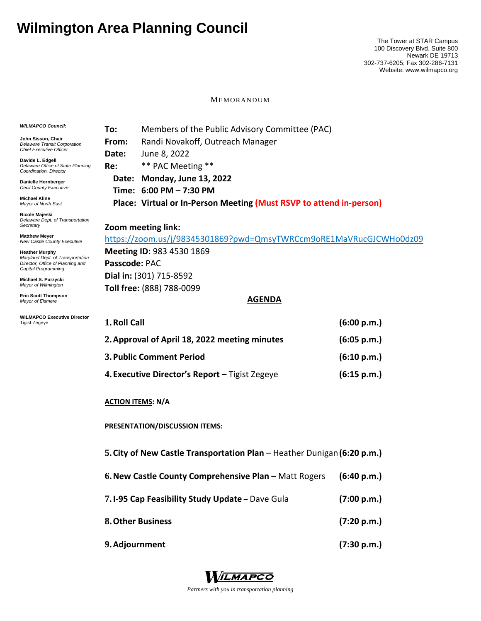## **Wilmington Area Planning Council**

The Tower at STAR Campus 100 Discovery Blvd, Suite 800 Newark DE 19713 302-737-6205; Fax 302-286-7131 Website: www.wilmapco.org

MEMORANDUM

| <b>WILMAPCO Council:</b>                                                                                                                                                       | Members of the Public Advisory Committee (PAC)<br>To:                   |                                                                     |             |  |
|--------------------------------------------------------------------------------------------------------------------------------------------------------------------------------|-------------------------------------------------------------------------|---------------------------------------------------------------------|-------------|--|
| John Sisson, Chair<br><b>Delaware Transit Corporation</b><br><b>Chief Executive Officer</b><br>Davide L. Edgell<br>Delaware Office of State Planning<br>Coordination, Director | From:                                                                   | Randi Novakoff, Outreach Manager                                    |             |  |
|                                                                                                                                                                                | Date:                                                                   | June 8, 2022                                                        |             |  |
|                                                                                                                                                                                | Re:                                                                     | ** PAC Meeting **                                                   |             |  |
| Danielle Hornberger                                                                                                                                                            | Date:                                                                   | <b>Monday, June 13, 2022</b>                                        |             |  |
| <b>Cecil County Executive</b><br><b>Michael Kline</b>                                                                                                                          |                                                                         | Time: 6:00 PM - 7:30 PM                                             |             |  |
| Mayor of North East                                                                                                                                                            |                                                                         | Place: Virtual or In-Person Meeting (Must RSVP to attend in-person) |             |  |
| Nicole Majeski<br>Delaware Dept. of Transportation                                                                                                                             |                                                                         |                                                                     |             |  |
| Secretary<br><b>Matthew Meyer</b>                                                                                                                                              | Zoom meeting link:                                                      |                                                                     |             |  |
| New Castle County Executive                                                                                                                                                    | https://zoom.us/j/98345301869?pwd=QmsyTWRCcm9oRE1MaVRucGJCWHo0dz09      |                                                                     |             |  |
| <b>Heather Murphy</b><br>Maryland Dept. of Transportation<br>Director, Office of Planning and<br>Capital Programming                                                           | <b>Meeting ID: 983 4530 1869</b>                                        |                                                                     |             |  |
|                                                                                                                                                                                | Passcode: PAC                                                           |                                                                     |             |  |
| Michael S. Purzycki<br>Mayor of Wilmington                                                                                                                                     | Dial in: (301) 715-8592                                                 |                                                                     |             |  |
| <b>Eric Scott Thompson</b>                                                                                                                                                     | Toll free: (888) 788-0099<br><b>AGENDA</b>                              |                                                                     |             |  |
| Mayor of Elsmere                                                                                                                                                               |                                                                         |                                                                     |             |  |
| <b>WILMAPCO Executive Director</b><br><b>Tigist Zegeye</b>                                                                                                                     | 1. Roll Call                                                            |                                                                     | (6:00 p.m.) |  |
|                                                                                                                                                                                | 2. Approval of April 18, 2022 meeting minutes<br>(6:05 p.m.)            |                                                                     |             |  |
|                                                                                                                                                                                | 3. Public Comment Period                                                |                                                                     | (6:10 p.m.) |  |
|                                                                                                                                                                                | 4. Executive Director's Report - Tigist Zegeye<br>(6:15 p.m.)           |                                                                     |             |  |
|                                                                                                                                                                                | <b>ACTION ITEMS: N/A</b>                                                |                                                                     |             |  |
|                                                                                                                                                                                | <b>PRESENTATION/DISCUSSION ITEMS:</b>                                   |                                                                     |             |  |
|                                                                                                                                                                                | 5. City of New Castle Transportation Plan - Heather Dunigan (6:20 p.m.) |                                                                     |             |  |
|                                                                                                                                                                                | 6. New Castle County Comprehensive Plan - Matt Rogers                   |                                                                     | (6:40 p.m.) |  |
|                                                                                                                                                                                | 7.1-95 Cap Feasibility Study Update - Dave Gula                         |                                                                     | (7:00 p.m.) |  |
|                                                                                                                                                                                | 8. Other Business                                                       |                                                                     | (7:20 p.m.) |  |
|                                                                                                                                                                                | 9. Adjournment                                                          |                                                                     | (7:30 p.m.) |  |



*Partners with you in transportation planning*